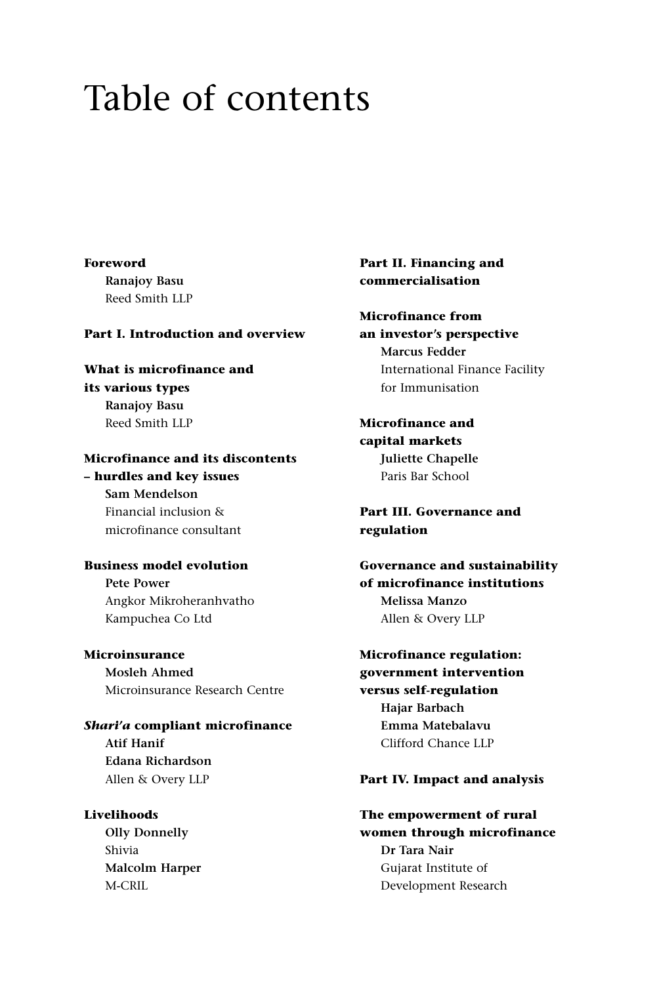# Table of contents

#### **Foreword**

**Ranajoy Basu** Reed Smith LLP

#### **Part I. Introduction and overview**

**What is microfinance and its various types Ranajoy Basu** Reed Smith LLP

## **Microfinance and its discontents**

**– hurdles and key issues Sam Mendelson** Financial inclusion & microfinance consultant

## **Business model evolution**

**Pete Power** Angkor Mikroheranhvatho Kampuchea Co Ltd

**Microinsurance Mosleh Ahmed** Microinsurance Research Centre

*Shari'a* **compliant microfinance Atif Hanif Edana Richardson** Allen & Overy LLP

**Livelihoods Olly Donnelly** Shivia **Malcolm Harper** M-CRIL

## **Part II. Financing and commercialisation**

# **Microfinance from**

**an investor's perspective Marcus Fedder** International Finance Facility for Immunisation

**Microfinance and capital markets Juliette Chapelle** Paris Bar School

**Part III. Governance and regulation**

**Governance and sustainability of microfinance institutions Melissa Manzo** Allen & Overy LLP

**Microfinance regulation: government intervention versus self-regulation Hajar Barbach Emma Matebalavu** Clifford Chance LLP

## **Part IV. Impact and analysis**

#### **The empowerment of rural**

**women through microfinance Dr Tara Nair** Gujarat Institute of Development Research